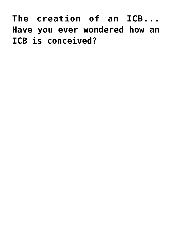## **[The creation of an ICB...](http://icb.ifcm.net/the-creation-of-an-icb-have-you-ever-wondered-how-an-icb-is-conceived/) [Have you ever wondered how an](http://icb.ifcm.net/the-creation-of-an-icb-have-you-ever-wondered-how-an-icb-is-conceived/) [ICB is conceived?](http://icb.ifcm.net/the-creation-of-an-icb-have-you-ever-wondered-how-an-icb-is-conceived/)**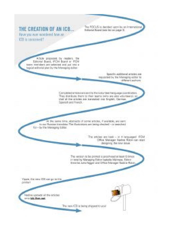THE CREATION OF AN ICB. Have you aver received from an 197 **CB** is associated?

The FOCUS is decided upon by an intervenional Eclippial Roard room but un supply 31.

A'500 GROOGHE DV readers, the Editorial Board, IPCM Board or IPCM and the last last problems and put into a teport editorial plan by the fritereging editor.

> Specific ackinged argues are reputation by the Menaging-aditor to skillenen sachere

Completed and including the first of the France description of constitutions. They don't use them to their teams likho are also volunteers), so that at the artistic are cannoted may brookly. Germ. Specials and French.

At the same time, abstracts of sortie scholar, if available, are samto per Plusoper Internations That (Sunb assums and being silvesteed - or searches) Sol - by the freezewing follow.

> The ender are best - at 4 languaged #DM Office Manager Madrid Robin can start Designing the new issue.

The version to be primed is proof-read at least 6 times. in testing Managing Editor Insteals Malmos, Editor Treems Juits Tagger and Office Minneger Radine Rider,

Yours, the new CE can point the printer

is upped all the articles. ante lels Beau sub-

The new KZD is being shipped foryour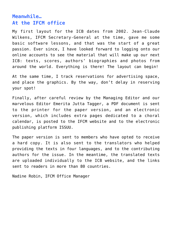## **Meanwhile… At the IFCM office**

My first layout for the ICB dates from 2002. Jean-Claude Wilkens, IFCM Secretary-General at the time, gave me some basic software lessons, and that was the start of a great passion. Ever since, I have looked forward to logging onto our online accounts to see the material that will make up our next ICB: texts, scores, authors' biographies and photos from around the world. Everything is there! The layout can begin!

At the same time, I track reservations for advertising space, and place the graphics. By the way, don't delay in [reserving](https://www.ifcm.net/uploads/content/ICB/reserve_a_space.pdf) [your spot!](https://www.ifcm.net/uploads/content/ICB/reserve_a_space.pdf)

Finally, after careful review by the Managing Editor and our marvelous Editor Emerita Jutta Tagger, a PDF document is sent to the printer for the paper version, and an electronic version, which includes extra pages dedicated to a choral calendar, is posted to the [IFCM website](https://ifcm.net/uploads/icb/2021-10/eicb_2021-4.pdf) and to the electronic publishing platform [ISSUU.](https://issuu.com/icbulletin/docs/eicb_2021-4)

The paper version is sent to members who have opted to receive a hard copy. It is also sent to the translators who helped providing the texts in four languages, and to the contributing authors for the issue. In the meantime, the translated texts are uploaded individually to the ICB website, and the links sent to readers in more than 80 countries.

Nadine Robin, IFCM Office Manager